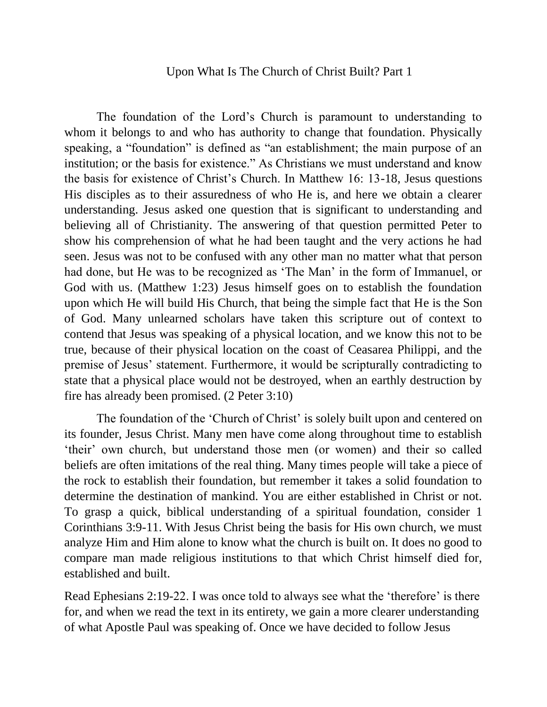## Upon What Is The Church of Christ Built? Part 1

The foundation of the Lord's Church is paramount to understanding to whom it belongs to and who has authority to change that foundation. Physically speaking, a "foundation" is defined as "an establishment; the main purpose of an institution; or the basis for existence." As Christians we must understand and know the basis for existence of Christ's Church. In Matthew 16: 13-18, Jesus questions His disciples as to their assuredness of who He is, and here we obtain a clearer understanding. Jesus asked one question that is significant to understanding and believing all of Christianity. The answering of that question permitted Peter to show his comprehension of what he had been taught and the very actions he had seen. Jesus was not to be confused with any other man no matter what that person had done, but He was to be recognized as 'The Man' in the form of Immanuel, or God with us. (Matthew 1:23) Jesus himself goes on to establish the foundation upon which He will build His Church, that being the simple fact that He is the Son of God. Many unlearned scholars have taken this scripture out of context to contend that Jesus was speaking of a physical location, and we know this not to be true, because of their physical location on the coast of Ceasarea Philippi, and the premise of Jesus' statement. Furthermore, it would be scripturally contradicting to state that a physical place would not be destroyed, when an earthly destruction by fire has already been promised. (2 Peter 3:10)

The foundation of the 'Church of Christ' is solely built upon and centered on its founder, Jesus Christ. Many men have come along throughout time to establish 'their' own church, but understand those men (or women) and their so called beliefs are often imitations of the real thing. Many times people will take a piece of the rock to establish their foundation, but remember it takes a solid foundation to determine the destination of mankind. You are either established in Christ or not. To grasp a quick, biblical understanding of a spiritual foundation, consider 1 Corinthians 3:9-11. With Jesus Christ being the basis for His own church, we must analyze Him and Him alone to know what the church is built on. It does no good to compare man made religious institutions to that which Christ himself died for, established and built.

Read Ephesians 2:19-22. I was once told to always see what the 'therefore' is there for, and when we read the text in its entirety, we gain a more clearer understanding of what Apostle Paul was speaking of. Once we have decided to follow Jesus